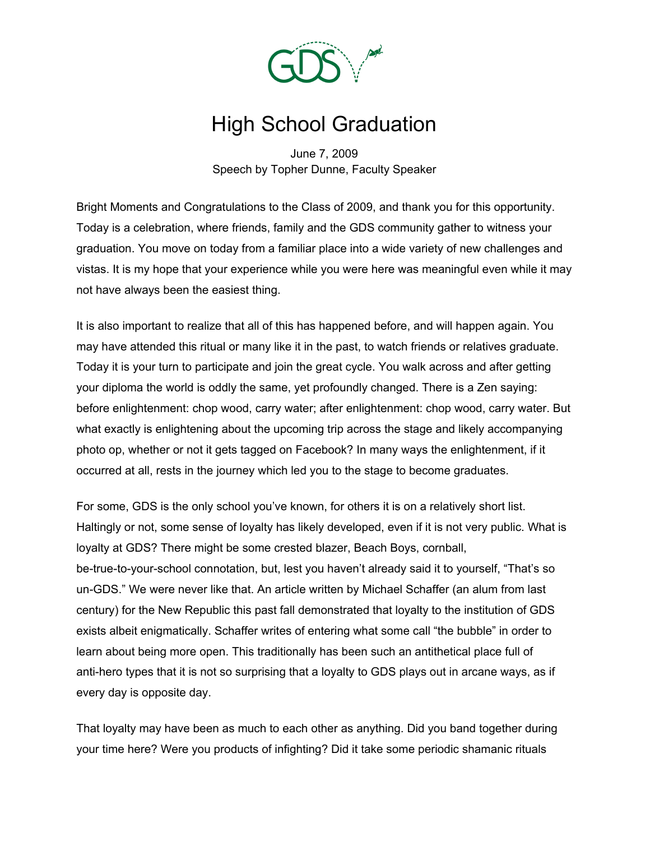

## High School Graduation

June 7, 2009 Speech by Topher Dunne, Faculty Speaker

Bright Moments and Congratulations to the Class of 2009, and thank you for this opportunity. Today is a celebration, where friends, family and the GDS community gather to witness your graduation. You move on today from a familiar place into a wide variety of new challenges and vistas. It is my hope that your experience while you were here was meaningful even while it may not have always been the easiest thing.

It is also important to realize that all of this has happened before, and will happen again. You may have attended this ritual or many like it in the past, to watch friends or relatives graduate. Today it is your turn to participate and join the great cycle. You walk across and after getting your diploma the world is oddly the same, yet profoundly changed. There is a Zen saying: before enlightenment: chop wood, carry water; after enlightenment: chop wood, carry water. But what exactly is enlightening about the upcoming trip across the stage and likely accompanying photo op, whether or not it gets tagged on Facebook? In many ways the enlightenment, if it occurred at all, rests in the journey which led you to the stage to become graduates.

For some, GDS is the only school you've known, for others it is on a relatively short list. Haltingly or not, some sense of loyalty has likely developed, even if it is not very public. What is loyalty at GDS? There might be some crested blazer, Beach Boys, cornball, be-true-to-your-school connotation, but, lest you haven't already said it to yourself, "That's so un-GDS." We were never like that. An article written by Michael Schaffer (an alum from last century) for the New Republic this past fall demonstrated that loyalty to the institution of GDS exists albeit enigmatically. Schaffer writes of entering what some call "the bubble" in order to learn about being more open. This traditionally has been such an antithetical place full of anti-hero types that it is not so surprising that a loyalty to GDS plays out in arcane ways, as if every day is opposite day.

That loyalty may have been as much to each other as anything. Did you band together during your time here? Were you products of infighting? Did it take some periodic shamanic rituals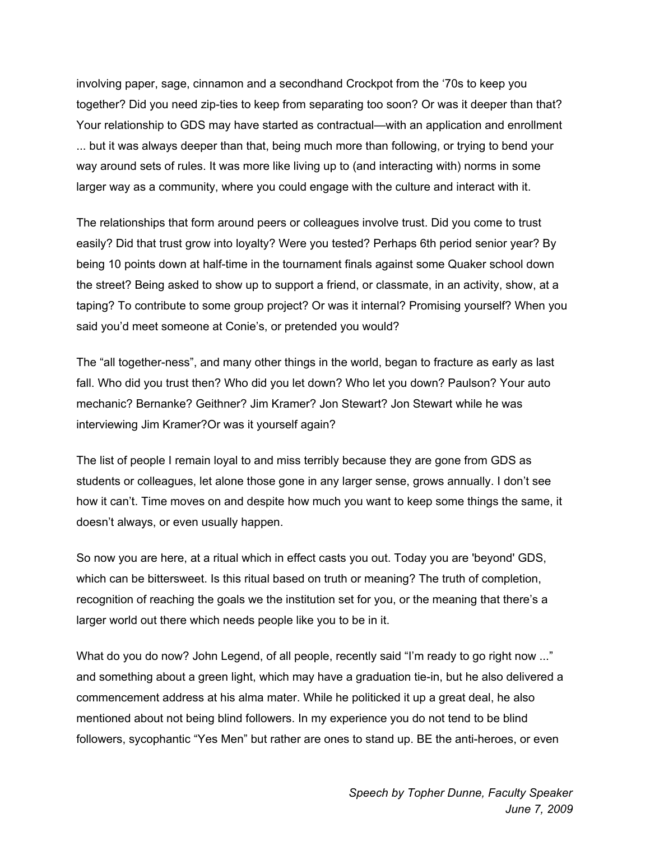involving paper, sage, cinnamon and a secondhand Crockpot from the '70s to keep you together? Did you need zip-ties to keep from separating too soon? Or was it deeper than that? Your relationship to GDS may have started as contractual—with an application and enrollment ... but it was always deeper than that, being much more than following, or trying to bend your way around sets of rules. It was more like living up to (and interacting with) norms in some larger way as a community, where you could engage with the culture and interact with it.

The relationships that form around peers or colleagues involve trust. Did you come to trust easily? Did that trust grow into loyalty? Were you tested? Perhaps 6th period senior year? By being 10 points down at half-time in the tournament finals against some Quaker school down the street? Being asked to show up to support a friend, or classmate, in an activity, show, at a taping? To contribute to some group project? Or was it internal? Promising yourself? When you said you'd meet someone at Conie's, or pretended you would?

The "all together-ness", and many other things in the world, began to fracture as early as last fall. Who did you trust then? Who did you let down? Who let you down? Paulson? Your auto mechanic? Bernanke? Geithner? Jim Kramer? Jon Stewart? Jon Stewart while he was interviewing Jim Kramer?Or was it yourself again?

The list of people I remain loyal to and miss terribly because they are gone from GDS as students or colleagues, let alone those gone in any larger sense, grows annually. I don't see how it can't. Time moves on and despite how much you want to keep some things the same, it doesn't always, or even usually happen.

So now you are here, at a ritual which in effect casts you out. Today you are 'beyond' GDS, which can be bittersweet. Is this ritual based on truth or meaning? The truth of completion, recognition of reaching the goals we the institution set for you, or the meaning that there's a larger world out there which needs people like you to be in it.

What do you do now? John Legend, of all people, recently said "I'm ready to go right now ..." and something about a green light, which may have a graduation tie-in, but he also delivered a commencement address at his alma mater. While he politicked it up a great deal, he also mentioned about not being blind followers. In my experience you do not tend to be blind followers, sycophantic "Yes Men" but rather are ones to stand up. BE the anti-heroes, or even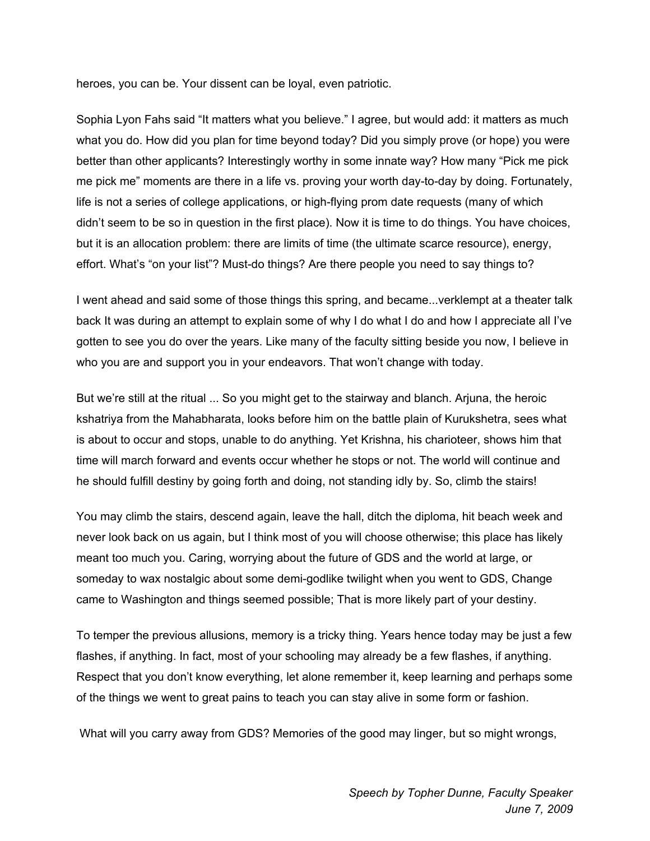heroes, you can be. Your dissent can be loyal, even patriotic.

Sophia Lyon Fahs said "It matters what you believe." I agree, but would add: it matters as much what you do. How did you plan for time beyond today? Did you simply prove (or hope) you were better than other applicants? Interestingly worthy in some innate way? How many "Pick me pick me pick me" moments are there in a life vs. proving your worth day-to-day by doing. Fortunately, life is not a series of college applications, or high-flying prom date requests (many of which didn't seem to be so in question in the first place). Now it is time to do things. You have choices, but it is an allocation problem: there are limits of time (the ultimate scarce resource), energy, effort. What's "on your list"? Must-do things? Are there people you need to say things to?

I went ahead and said some of those things this spring, and became...verklempt at a theater talk back It was during an attempt to explain some of why I do what I do and how I appreciate all I've gotten to see you do over the years. Like many of the faculty sitting beside you now, I believe in who you are and support you in your endeavors. That won't change with today.

But we're still at the ritual ... So you might get to the stairway and blanch. Arjuna, the heroic kshatriya from the Mahabharata, looks before him on the battle plain of Kurukshetra, sees what is about to occur and stops, unable to do anything. Yet Krishna, his charioteer, shows him that time will march forward and events occur whether he stops or not. The world will continue and he should fulfill destiny by going forth and doing, not standing idly by. So, climb the stairs!

You may climb the stairs, descend again, leave the hall, ditch the diploma, hit beach week and never look back on us again, but I think most of you will choose otherwise; this place has likely meant too much you. Caring, worrying about the future of GDS and the world at large, or someday to wax nostalgic about some demi-godlike twilight when you went to GDS, Change came to Washington and things seemed possible; That is more likely part of your destiny.

To temper the previous allusions, memory is a tricky thing. Years hence today may be just a few flashes, if anything. In fact, most of your schooling may already be a few flashes, if anything. Respect that you don't know everything, let alone remember it, keep learning and perhaps some of the things we went to great pains to teach you can stay alive in some form or fashion.

What will you carry away from GDS? Memories of the good may linger, but so might wrongs,